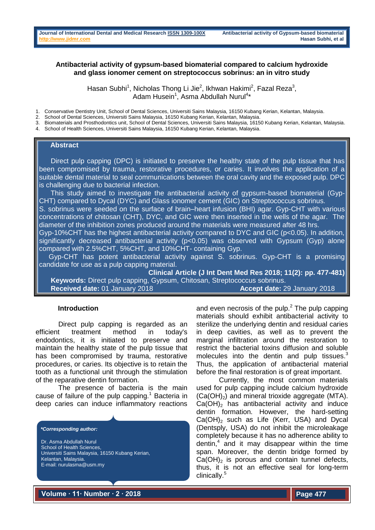## **Antibacterial activity of gypsum-based biomaterial compared to calcium hydroxide and glass ionomer cement on streptococcus sobrinus: an in vitro study**

Hasan Subhi<sup>1</sup>, Nicholas Thong Li Jie<sup>2</sup>, Ikhwan Hakimi<sup>2</sup>, Fazal Reza<sup>3</sup>, Adam Husein<sup>1</sup>, Asma Abdullah Nurul<sup>4\*</sup>

1. Conservative Dentistry Unit, School of Dental Sciences, Universiti Sains Malaysia, 16150 Kubang Kerian, Kelantan, Malaysia.

2. School of Dental Sciences, Universiti Sains Malaysia, 16150 Kubang Kerian, Kelantan, Malaysia.

- 3. Biomaterials and Prosthodontics unit, School of Dental Sciences, Universiti Sains Malaysia, 16150 Kubang Kerian, Kelantan, Malaysia.
- 4. School of Health Sciences, Universiti Sains Malaysia, 16150 Kubang Kerian, Kelantan, Malaysia.

#### **Abstract**

 Direct pulp capping (DPC) is initiated to preserve the healthy state of the pulp tissue that has been compromised by trauma, restorative procedures, or caries. It involves the application of a suitable dental material to seal communications between the oral cavity and the exposed pulp. DPC is challenging due to bacterial infection.

 This study aimed to investigate the antibacterial activity of gypsum-based biomaterial (Gyp-CHT) compared to Dycal (DYC) and Glass ionomer cement (GIC) on Streptococcus sobrinus.

S. sobrinus were seeded on the surface of brain–heart infusion (BHI) agar. Gyp-CHT with various concentrations of chitosan (CHT), DYC, and GIC were then inserted in the wells of the agar. The diameter of the inhibition zones produced around the materials were measured after 48 hrs.

Gyp-10%CHT has the highest antibacterial activity compared to DYC and GIC (p<0.05). In addition, significantly decreased antibacterial activity (p<0.05) was observed with Gypsum (Gyp) alone compared with 2.5%CHT, 5%CHT, and 10%CHT- containing Gyp.

 Gyp-CHT has potent antibacterial activity against S. sobrinus. Gyp-CHT is a promising candidate for use as a pulp capping material.

**Clinical Article (J Int Dent Med Res 2018; 11(2): pp. 477-481) Keywords:** Direct pulp capping, Gypsum, Chitosan, Streptococcus sobrinus. **Received date:** 01 January 2018 **Accept date:** 29 January 2018

#### **Introduction**

Direct pulp capping is regarded as an efficient treatment method in today's endodontics, it is initiated to preserve and maintain the healthy state of the pulp tissue that has been compromised by trauma, restorative procedures, or caries. Its objective is to retain the tooth as a functional unit through the stimulation of the reparative dentin formation.

The presence of bacteria is the main cause of failure of the pulp capping.<sup>1</sup> Bacteria in deep caries can induce inflammatory reactions

#### *\*Corresponding author:*

Dr. Asma Abdullah Nurul School of Health Sciences. Universiti Sains Malaysia, 16150 Kubang Kerian, Kelantan, Malaysia. E-mail[: nurulasma@usm.my](mailto:nurulasma@usm.my) 

and even necrosis of the pulp. $<sup>2</sup>$  The pulp capping</sup> materials should exhibit antibacterial activity to sterilize the underlying dentin and residual caries in deep cavities, as well as to prevent the marginal infiltration around the restoration to restrict the bacterial toxins diffusion and soluble molecules into the dentin and pulp tissues.<sup>3</sup> Thus, the application of antibacterial material before the final restoration is of great important.

Currently, the most common materials used for pulp capping include calcium hydroxide  $(Ca(OH)_2)$  and mineral trioxide aggregate (MTA).  $Ca(OH)$ <sub>2</sub> has antibacterial activity and induce dentin formation. However, the hard-setting  $Ca(OH)_{2}$  such as Life (Kerr, USA) and Dycal (Dentsply, USA) do not inhibit the microleakage completely because it has no adherence ability to dentin,<sup>4</sup> and it may disappear within the time span. Moreover, the dentin bridge formed by  $Ca(OH)_{2}$  is porous and contain tunnel defects, thus, it is not an effective seal for long-term clinically.<sup>5</sup>

**Volume ∙ 11∙ Number ∙ 2 ∙ 2018**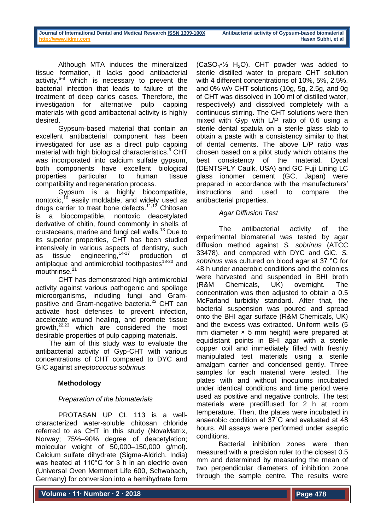Although MTA induces the mineralized tissue formation, it lacks good antibacterial activity, $6-8$  which is necessary to prevent the bacterial infection that leads to failure of the treatment of deep caries cases. Therefore, the investigation for alternative pulp capping materials with good antibacterial activity is highly desired.

Gypsum-based material that contain an excellent antibacterial component has been investigated for use as a direct pulp capping material with high biological characteristics.<sup>9</sup> CHT was incorporated into calcium sulfate gypsum, both components have excellent biological properties particular to human tissue compatibility and regeneration process.

Gypsum is a highly biocompatible, nontoxic, $10$  easily moldable, and widely used as drugs carrier to treat bone defects.<sup>11,12</sup> Chitosan is a biocompatible, nontoxic deacetylated derivative of chitin, found commonly in shells of crustaceans, marine and fungi cell walls.<sup>13</sup> Due to its superior properties, CHT has been studied intensively in various aspects of dentistry, such as tissue engineering, $14-17$  production of antiplaque and antimicrobial toothpastes<sup>18-20</sup> and mouthrinse.<sup>21</sup>

CHT has demonstrated high antimicrobial activity against various pathogenic and spoilage microorganisms, including fungi and Grampositive and Gram-negative bacteria.<sup>22</sup> CHT can activate host defenses to prevent infection, accelerate wound healing, and promote tissue growth,22,23 which are considered the most desirable properties of pulp capping materials.

The aim of this study was to evaluate the antibacterial activity of Gyp-CHT with various concentrations of CHT compared to DYC and GIC against *streptococcus sobrinus*.

# **Methodology**

# *Preparation of the biomaterials*

PROTASAN UP CL 113 is a wellcharacterized water-soluble chitosan chloride referred to as CHT in this study (NovaMatrix, Norway; 75%–90% degree of deacetylation; molecular weight of 50,000–150,000 g/mol). Calcium sulfate dihydrate (Sigma-Aldrich, India) was heated at 110°C for 3 h in an electric oven (Universal Oven Memmert Life 600, Schwabach, Germany) for conversion into a hemihydrate form

 $(CaSO_4^{\bullet}\frac{1}{2}H_2O)$ . CHT powder was added to sterile distilled water to prepare CHT solution with 4 different concentrations of 10%, 5%, 2.5%, and 0% w/v CHT solutions (10g, 5g, 2.5g, and 0g of CHT was dissolved in 100 ml of distilled water, respectively) and dissolved completely with a continuous stirring. The CHT solutions were then mixed with Gyp with L/P ratio of 0.6 using a sterile dental spatula on a sterile glass slab to obtain a paste with a consistency similar to that of dental cements. The above L/P ratio was chosen based on a pilot study which obtains the best consistency of the material. Dycal (DENTSPLY Caulk, USA) and GC Fuji Lining LC glass ionomer cement (GC, Japan) were prepared in accordance with the manufacturers' instructions and used to compare the antibacterial properties.

# *Agar Diffusion Test*

The antibacterial activity of the experimental biomaterial was tested by agar diffusion method against *S. sobrinus* (ATCC 33478), and compared with DYC and GlC. *S. sobrinus* was cultured on blood agar at 37 °C for 48 h under anaerobic conditions and the colonies were harvested and suspended in BHI broth (R&M Chemicals, UK) overnight. The concentration was then adjusted to obtain a 0.5 McFarland turbidity standard. After that, the bacterial suspension was poured and spread onto the BHI agar surface (R&M Chemicals, UK) and the excess was extracted. Uniform wells (5 mm diameter × 5 mm height) were prepared at equidistant points in BHI agar with a sterile copper coil and immediately filled with freshly manipulated test materials using a sterile amalgam carrier and condensed gently. Three samples for each material were tested. The plates with and without inoculums incubated under identical conditions and time period were used as positive and negative controls. The test materials were prediffused for 2 h at room temperature. Then, the plates were incubated in anaerobic condition at 37˚C and evaluated at 48 hours. All assays were performed under aseptic conditions.

Bacterial inhibition zones were then measured with a precision ruler to the closest 0.5 mm and determined by measuring the mean of two perpendicular diameters of inhibition zone through the sample centre. The results were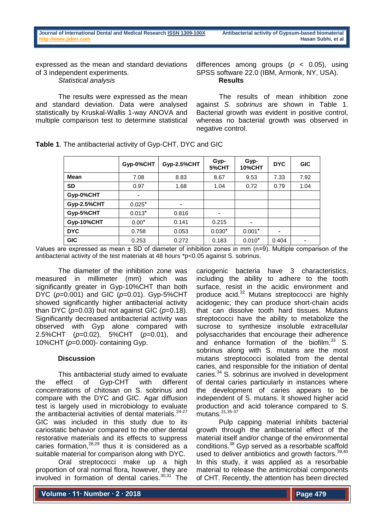expressed as the mean and standard deviations of 3 independent experiments. *Statistical analysis*

The results were expressed as the mean and standard deviation. Data were analysed statistically by Kruskal-Wallis 1-way ANOVA and multiple comparison test to determine statistical

differences among groups (*p* < 0.05), using SPSS software 22.0 (IBM, Armonk, NY, USA). **Results**

The results of mean inhibition zone against *S. sobrinus* are shown in Table 1. Bacterial growth was evident in positive control, whereas no bacterial growth was observed in negative control.

|                    | Gyp-0%CHT | Gyp-2.5%CHT | Gyp-<br>5%CHT | Gyp-<br><b>10%CHT</b> | <b>DYC</b> | <b>GIC</b> |
|--------------------|-----------|-------------|---------------|-----------------------|------------|------------|
| Mean               | 7.08      | 8.83        | 8.67          | 9.53                  | 7.33       | 7.92       |
| <b>SD</b>          | 0.97      | 1.68        | 1.04          | 0.72                  | 0.79       | 1.04       |
| Gyp-0%CHT          | ۰         |             |               |                       |            |            |
| <b>Gyp-2.5%CHT</b> | $0.025*$  | ٠           |               |                       |            |            |
| Gyp-5%CHT          | $0.013*$  | 0.816       | ۰             |                       |            |            |
| Gyp-10%CHT         | $0.00*$   | 0.141       | 0.215         |                       |            |            |
| <b>DYC</b>         | 0.758     | 0.053       | $0.030*$      | $0.001*$              | ۰          |            |
| <b>GIC</b>         | 0.253     | 0.272       | 0.183         | $0.010*$              | 0.404      |            |

**Table 1**. The antibacterial activity of Gyp-CHT, DYC and GIC

Values are expressed as mean  $\pm$  SD of diameter of inhibition zones in mm (n=9). Multiple comparison of the antibacterial activity of the test materials at 48 hours \*p<0.05 against S. sobrinus.

The diameter of the inhibition zone was measured in millimeter (mm) which was significantly greater in Gyp-10%CHT than both DYC (*p*=0.001) and GIC (*p*=0.01). Gyp-5%CHT showed significantly higher antibacterial activity than DYC (*p*=0.03) but not against GIC (*p*=0.18). Significantly decreased antibacterial activity was observed with Gyp alone compared with 2.5%CHT (*p*=0.02), 5%CHT (*p*=0.01), and 10%CHT (*p*=0.000)- containing Gyp.

## **Discussion**

This antibacterial study aimed to evaluate the effect of Gyp-CHT with different concentrations of chitosan on S. sobrinus and compare with the DYC and GIC. Agar diffusion test is largely used in microbiology to evaluate the antibacterial activities of dental materials.<sup>24-27</sup> GIC was included in this study due to its cariostatic behavior compared to the other dental restorative materials and its effects to suppress caries formation, $28,29$  thus it is considered as a suitable material for comparison along with DYC.

Oral streptococci make up a high proportion of oral normal flora, however, they are involved in formation of dental caries. $30,31$  The cariogenic bacteria have 3 characteristics, including the ability to adhere to the tooth surface, resist in the acidic environment and produce acid.<sup>32</sup> Mutans streptococci are highly acidogenic; they can produce short-chain acids that can dissolve tooth hard tissues. Mutans streptococci have the ability to metabolize the sucrose to synthesize insoluble extracellular polysaccharides that encourage their adherence and enhance formation of the biofilm. $33$  S. sobrinus along with S. mutans are the most mutans streptococci isolated from the dental caries, and responsible for the initiation of dental caries.<sup>34</sup> S. sobrinus are involved in development of dental caries particularly in instances where the development of caries appears to be independent of S. mutans. It showed higher acid production and acid tolerance compared to S. mutans. 31,35-37

Pulp capping material inhibits bacterial growth through the antibacterial effect of the material itself and/or change of the environmental conditions.<sup>38</sup> Gyp served as a resorbable scaffold used to deliver antibiotics and growth factors.<sup>39,40</sup> In this study, it was applied as a resorbable material to release the antimicrobial components of CHT. Recently, the attention has been directed

**Volume ∙ 11∙ Number ∙ 2 ∙ 2018**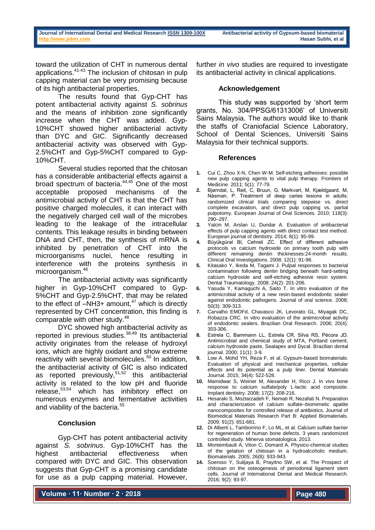toward the utilization of CHT in numerous dental applications.41-43 The inclusion of chitosan in pulp capping material can be very promising because of its high antibacterial properties.

The results found that Gyp-CHT has potent antibacterial activity against *S. sobrinus* and the means of inhibition zone significantly increase when the CHT was added. Gyp-10%CHT showed higher antibacterial activity than DYC and GIC. Significantly decreased antibacterial activity was observed with Gyp-2.5%CHT and Gyp-5%CHT compared to Gyp-10%CHT.

Several studies reported that the chitosan has a considerable antibacterial effects against a broad spectrum of bacteria.<sup>44,45</sup> One of the most acceptable proposed mechanisms of the antimicrobial activity of CHT is that the CHT has positive charged molecules, it can interact with the negatively charged cell wall of the microbes leading to the leakage of the intracellular contents. This leakage results in binding between DNA and CHT, then, the synthesis of mRNA is inhibited by penetration of CHT into the microorganisms nuclei, hence resulting in interference with the proteins synthesis in microorganism.<sup>46</sup>

The antibacterial activity was significantly higher in Gyp-10%CHT compared to Gyp-5%CHT and Gyp-2.5%CHT, that may be related to the effect of  $-NH3+$  amount,<sup>47</sup> which is directly represented by CHT concentration, this finding is comparable with other study.<sup>48</sup>

DYC showed high antibacterial activity as reported in previous studies.38,49 Its antibacterial activity originates from the release of hydroxyl ions, which are highly oxidant and show extreme reactivity with several biomolecules.<sup>50</sup> In addition, the antibacterial activity of GIC is also indicated as reported previously, $51,52$  this antibacterial activity is related to the low pH and fluoride release,53,54 which has inhibitory effect on numerous enzymes and fermentative activities and viability of the bacteria.<sup>55</sup>

## **Conclusion**

Gyp-CHT has potent antibacterial activity against *S. sobrinus*. Gyp-10%CHT has the highest antibacterial effectiveness when compared with DYC and GIC. This observation suggests that Gyp-CHT is a promising candidate for use as a pulp capping material. However,

**Volume ∙ 11∙ Number ∙ 2 ∙ 2018**

further *in vivo* studies are required to investigate its antibacterial activity in clinical applications.

## **Acknowledgement**

This study was supported by 'short term grants, No. 304/PPSG/61313006' of Universiti Sains Malaysia. The authors would like to thank the staffs of Craniofacial Science Laboratory, School of Dental Sciences, Universiti Sains Malaysia for their technical supports.

#### **References**

- **1.** Cui C, Zhou X-N, Chen W-M. Self-etching adhesives: possible new pulp capping agents to vital pulp therapy. Frontiers of Medicine. 2011; 5(1): 77-79.
- **2.** Bjørndal, L, Reit, C, Bruun, G, Markvart, M, Kjældgaard, M, Näsman, P. Treatment of deep caries lesions in adults: randomized clinical trials comparing stepwise vs. direct complete excavation, and direct pulp capping vs. partial pulpotomy. European Journal of Oral Sciences. 2010; 118(3):  $290 - 297$
- **3.** Yalcin M, Arslan U, Dundar A. Evaluation of antibacterial effects of pulp capping agents with direct contact test method. European journal of dentistry. 2014; 8(1): 95-99.
- Büyükgüral Bl, Cehreli ZC. Effect of different adhesive protocols vs calcium hydroxide on primary tooth pulp with different remaining dentin thicknesses:24-month results. Clinical Oral Investigations. 2008; 12(1): 91-96.
- **5.** Kitasako Y, Ikeda M, Tagami J. Pulpal responses to bacterial contamination following dentin bridging beneath hard-setting calcium hydroxide and self-etching adhesive resin system. Dental Traumatology. 2008; 24(2): 201-206.
- **6.** Yasuda Y, Kamaguchi A, Saito T. In vitro evaluation of the antimicrobial activity of a new resin-based endodontic sealer against endodontic pathogens. Journal of oral science. 2008; 50(3): 309-313.
- **7.** Carvalho EMOFd, Chavasco JK, Levorato GL, Miyagak DC, Robazza CRC. In vitro evaluation of the antimicrobial activity of endodontic sealers. Brazilian Oral Research. 2006; 20(4): 303-306.
- **8.** Estrela C, Bammann LL, Estrela CR, Silva RS, Pécora JD. Antimicrobial and chemical study of MTA, Portland cement, calcium hydroxide paste, Sealapex and Dycal. Brazilian dental journal. 2000; 11(1): 3-9.
- **9.** Low A, Mohd YH, Reza F, et al. Gypsum-based biomaterials: Evaluation of physical and mechanical properties, cellular effects and its potential as a pulp liner. Dental Materials Journal. 2015; 34(4): 522-528.
- **10.** Mamidwar S, Weiner M, Alexander H, Ricci J. In vivo bone response to calcium sulfate/poly L-lactic acid composite. Implant dentistry. 2008; 17(2): 208-216.
- **11.** Hesaraki S, Moztarzadeh F, Nemati R, Nezafati N. Preparation and characterization of calcium sulfate–biomimetic apatite nanocomposites for controlled release of antibiotics. Journal of Biomedical Materials Research Part B: Applied Biomaterials. 2009; 91(2): 651-661.
- **12.** Di Alberti L, Tamborrino F, Lo ML, et al. Calcium sulfate barrier for regeneration of human bone defects. 3 years randomized controlled study. Minerva stomatologica. 2013.
- **13.** Montembault A, Viton C, Domard A. Physico-chemical studies of the gelation of chitosan in a hydroalcoholic medium. Biomaterials. 2005; 26(8): 933-943.
- **14.** Soeroso Y, Sulijaya B, Prayitno SW, et al. The Prospect of chitosan on the osteogenesis of periodontal ligament stem cells. Journal of International Dental and Medical Research. 2016; 9(2): 93-97.